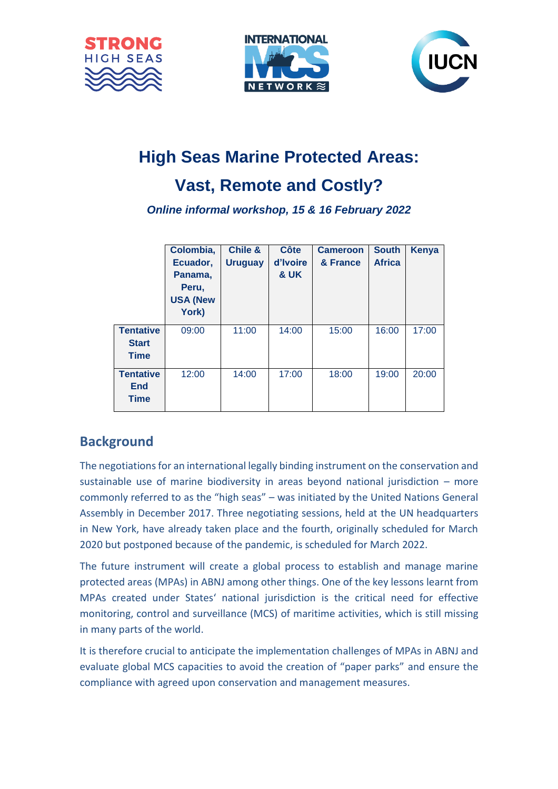





# **High Seas Marine Protected Areas:**

## **Vast, Remote and Costly?**

*Online informal workshop, 15 & 16 February 2022*

|                                                 | Colombia,<br>Ecuador,<br>Panama,<br>Peru,<br><b>USA (New</b><br>York) | <b>Chile &amp;</b><br><b>Uruguay</b> | Côte<br>d'Ivoire<br>& UK | <b>Cameroon</b><br>& France | <b>South</b><br><b>Africa</b> | Kenya |
|-------------------------------------------------|-----------------------------------------------------------------------|--------------------------------------|--------------------------|-----------------------------|-------------------------------|-------|
| <b>Tentative</b><br><b>Start</b><br><b>Time</b> | 09:00                                                                 | 11:00                                | 14:00                    | 15:00                       | 16:00                         | 17:00 |
| <b>Tentative</b><br><b>End</b><br><b>Time</b>   | 12:00                                                                 | 14:00                                | 17:00                    | 18:00                       | 19:00                         | 20:00 |

### **Background**

The negotiations for an international legally binding instrument on the conservation and sustainable use of marine biodiversity in areas beyond national jurisdiction – more commonly referred to as the "high seas" – was initiated by the United Nations General Assembly in December 2017. Three negotiating sessions, held at the UN headquarters in New York, have already taken place and the fourth, originally scheduled for March 2020 but postponed because of the pandemic, is scheduled for March 2022.

The future instrument will create a global process to establish and manage marine protected areas (MPAs) in ABNJ among other things. One of the key lessons learnt from MPAs created under States' national jurisdiction is the critical need for effective monitoring, control and surveillance (MCS) of maritime activities, which is still missing in many parts of the world.

It is therefore crucial to anticipate the implementation challenges of MPAs in ABNJ and evaluate global MCS capacities to avoid the creation of "paper parks" and ensure the compliance with agreed upon conservation and management measures.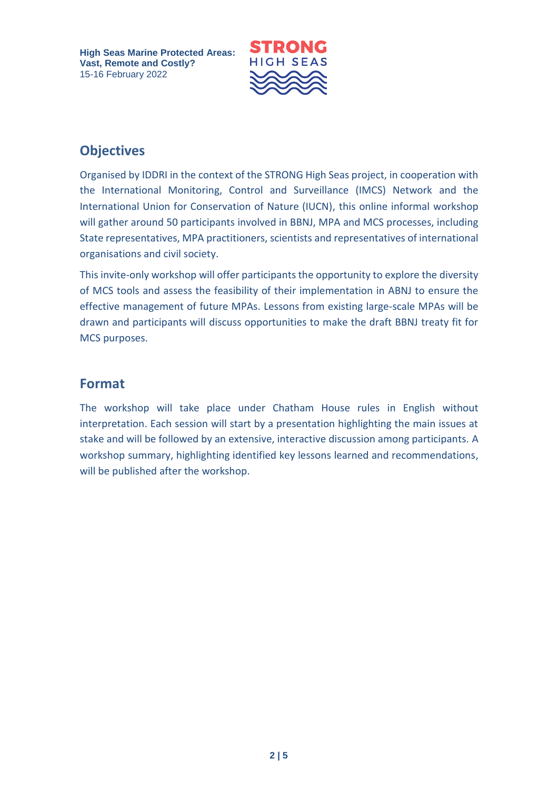

### **Objectives**

Organised by IDDRI in the context of the STRONG High Seas project, in cooperation with the International Monitoring, Control and Surveillance (IMCS) Network and the International Union for Conservation of Nature (IUCN), this online informal workshop will gather around 50 participants involved in BBNJ, MPA and MCS processes, including State representatives, MPA practitioners, scientists and representatives of international organisations and civil society.

This invite-only workshop will offer participants the opportunity to explore the diversity of MCS tools and assess the feasibility of their implementation in ABNJ to ensure the effective management of future MPAs. Lessons from existing large-scale MPAs will be drawn and participants will discuss opportunities to make the draft BBNJ treaty fit for MCS purposes.

### **Format**

The workshop will take place under Chatham House rules in English without interpretation. Each session will start by a presentation highlighting the main issues at stake and will be followed by an extensive, interactive discussion among participants. A workshop summary, highlighting identified key lessons learned and recommendations, will be published after the workshop.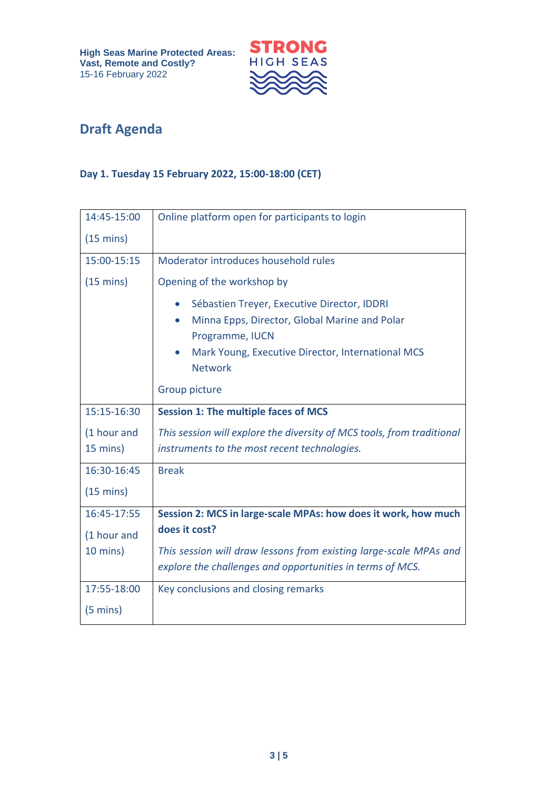

## **Draft Agenda**

#### **Day 1. Tuesday 15 February 2022, 15:00-18:00 (CET)**

| 14:45-15:00         | Online platform open for participants to login                         |  |  |
|---------------------|------------------------------------------------------------------------|--|--|
| $(15 \text{ mins})$ |                                                                        |  |  |
| 15:00-15:15         | Moderator introduces household rules                                   |  |  |
| $(15 \text{ mins})$ | Opening of the workshop by                                             |  |  |
|                     | Sébastien Treyer, Executive Director, IDDRI                            |  |  |
|                     | Minna Epps, Director, Global Marine and Polar<br>Programme, IUCN       |  |  |
|                     | Mark Young, Executive Director, International MCS                      |  |  |
|                     | <b>Network</b>                                                         |  |  |
|                     | Group picture                                                          |  |  |
| 15:15-16:30         | <b>Session 1: The multiple faces of MCS</b>                            |  |  |
| (1 hour and         | This session will explore the diversity of MCS tools, from traditional |  |  |
| 15 mins)            | instruments to the most recent technologies.                           |  |  |
| 16:30-16:45         | <b>Break</b>                                                           |  |  |
| $(15 \text{ mins})$ |                                                                        |  |  |
| 16:45-17:55         | Session 2: MCS in large-scale MPAs: how does it work, how much         |  |  |
| (1 hour and         | does it cost?                                                          |  |  |
| 10 mins)            | This session will draw lessons from existing large-scale MPAs and      |  |  |
|                     | explore the challenges and opportunities in terms of MCS.              |  |  |
| 17:55-18:00         | Key conclusions and closing remarks                                    |  |  |
| $(5 \text{ mins})$  |                                                                        |  |  |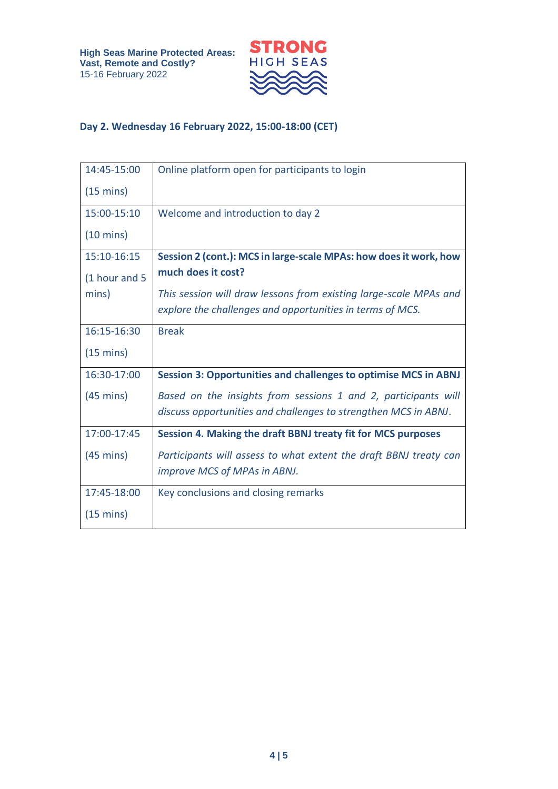

#### **Day 2. Wednesday 16 February 2022, 15:00-18:00 (CET)**

| 14:45-15:00         | Online platform open for participants to login                         |
|---------------------|------------------------------------------------------------------------|
| $(15 \text{ mins})$ |                                                                        |
| 15:00-15:10         | Welcome and introduction to day 2                                      |
| $(10 \text{ mins})$ |                                                                        |
| 15:10-16:15         | Session 2 (cont.): MCS in large-scale MPAs: how does it work, how      |
| (1 hour and 5       | much does it cost?                                                     |
| mins)               | This session will draw lessons from existing large-scale MPAs and      |
|                     | explore the challenges and opportunities in terms of MCS.              |
| 16:15-16:30         | <b>Break</b>                                                           |
| $(15 \text{ mins})$ |                                                                        |
| 16:30-17:00         | <b>Session 3: Opportunities and challenges to optimise MCS in ABNJ</b> |
| $(45 \text{ mins})$ | Based on the insights from sessions 1 and 2, participants will         |
|                     | discuss opportunities and challenges to strengthen MCS in ABNJ.        |
| 17:00-17:45         | Session 4. Making the draft BBNJ treaty fit for MCS purposes           |
| $(45 \text{ mins})$ | Participants will assess to what extent the draft BBNJ treaty can      |
|                     | improve MCS of MPAs in ABNJ.                                           |
| 17:45-18:00         | Key conclusions and closing remarks                                    |
| $(15 \text{ mins})$ |                                                                        |